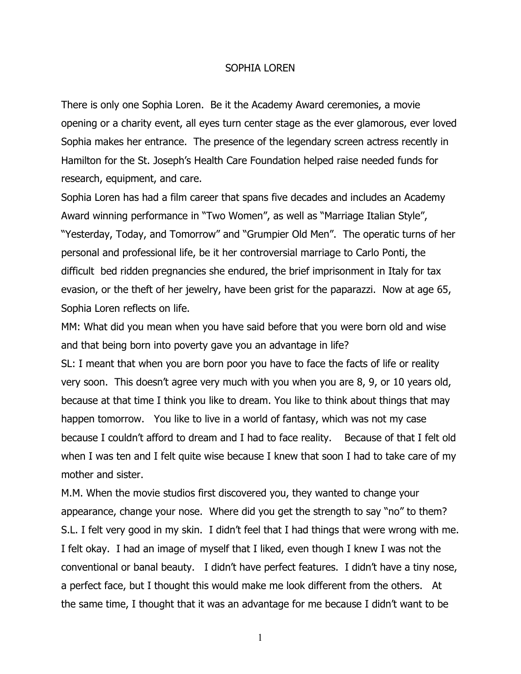## SOPHIA LOREN

There is only one Sophia Loren. Be it the Academy Award ceremonies, a movie opening or a charity event, all eyes turn center stage as the ever glamorous, ever loved Sophia makes her entrance. The presence of the legendary screen actress recently in Hamilton for the St. Joseph's Health Care Foundation helped raise needed funds for research, equipment, and care.

Sophia Loren has had a film career that spans five decades and includes an Academy Award winning performance in "Two Women", as well as "Marriage Italian Style", "Yesterday, Today, and Tomorrow" and "Grumpier Old Men". The operatic turns of her personal and professional life, be it her controversial marriage to Carlo Ponti, the difficult bed ridden pregnancies she endured, the brief imprisonment in Italy for tax evasion, or the theft of her jewelry, have been grist for the paparazzi. Now at age 65, Sophia Loren reflects on life.

MM: What did you mean when you have said before that you were born old and wise and that being born into poverty gave you an advantage in life?

SL: I meant that when you are born poor you have to face the facts of life or reality very soon. This doesn't agree very much with you when you are 8, 9, or 10 years old, because at that time I think you like to dream. You like to think about things that may happen tomorrow. You like to live in a world of fantasy, which was not my case because I couldn't afford to dream and I had to face reality. Because of that I felt old when I was ten and I felt quite wise because I knew that soon I had to take care of my mother and sister.

M.M. When the movie studios first discovered you, they wanted to change your appearance, change your nose. Where did you get the strength to say "no" to them? S.L. I felt very good in my skin. I didn't feel that I had things that were wrong with me. I felt okay. I had an image of myself that I liked, even though I knew I was not the conventional or banal beauty. I didn't have perfect features. I didn't have a tiny nose, a perfect face, but I thought this would make me look different from the others. At the same time, I thought that it was an advantage for me because I didn't want to be

1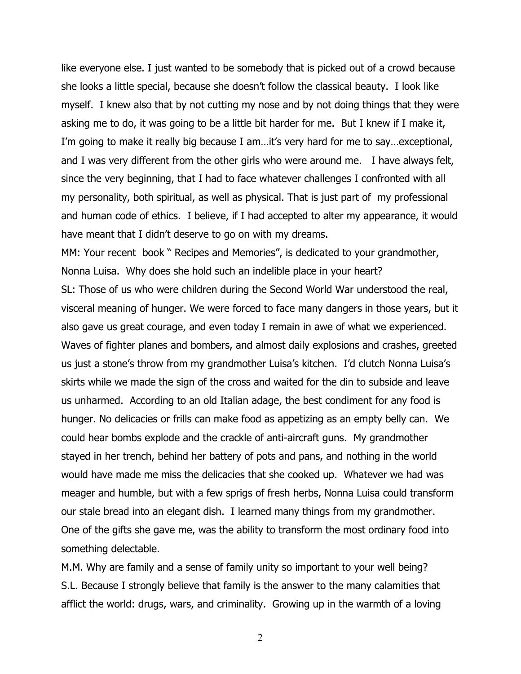like everyone else. I just wanted to be somebody that is picked out of a crowd because she looks a little special, because she doesn't follow the classical beauty. I look like myself. I knew also that by not cutting my nose and by not doing things that they were asking me to do, it was going to be a little bit harder for me. But I knew if I make it, I'm going to make it really big because I am…it's very hard for me to say…exceptional, and I was very different from the other girls who were around me. I have always felt, since the very beginning, that I had to face whatever challenges I confronted with all my personality, both spiritual, as well as physical. That is just part of my professional and human code of ethics. I believe, if I had accepted to alter my appearance, it would have meant that I didn't deserve to go on with my dreams.

MM: Your recent book " Recipes and Memories", is dedicated to your grandmother, Nonna Luisa. Why does she hold such an indelible place in your heart? SL: Those of us who were children during the Second World War understood the real, visceral meaning of hunger. We were forced to face many dangers in those years, but it

also gave us great courage, and even today I remain in awe of what we experienced. Waves of fighter planes and bombers, and almost daily explosions and crashes, greeted us just a stone's throw from my grandmother Luisa's kitchen. I'd clutch Nonna Luisa's skirts while we made the sign of the cross and waited for the din to subside and leave us unharmed. According to an old Italian adage, the best condiment for any food is hunger. No delicacies or frills can make food as appetizing as an empty belly can. We could hear bombs explode and the crackle of anti-aircraft guns. My grandmother stayed in her trench, behind her battery of pots and pans, and nothing in the world would have made me miss the delicacies that she cooked up. Whatever we had was meager and humble, but with a few sprigs of fresh herbs, Nonna Luisa could transform our stale bread into an elegant dish. I learned many things from my grandmother. One of the gifts she gave me, was the ability to transform the most ordinary food into something delectable.

M.M. Why are family and a sense of family unity so important to your well being? S.L. Because I strongly believe that family is the answer to the many calamities that afflict the world: drugs, wars, and criminality. Growing up in the warmth of a loving

2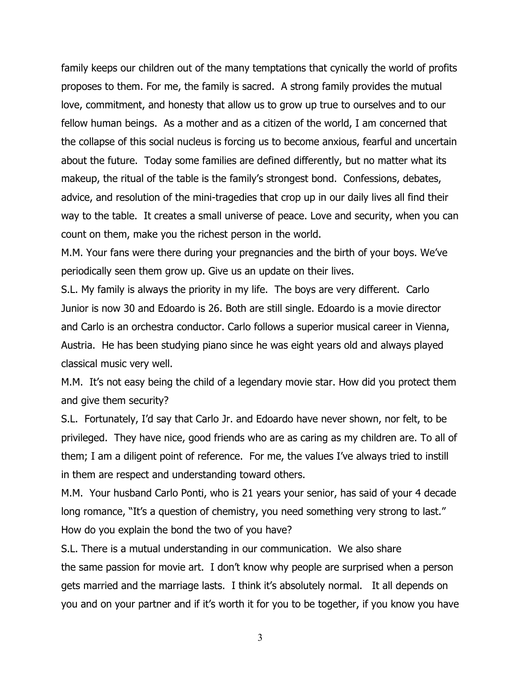family keeps our children out of the many temptations that cynically the world of profits proposes to them. For me, the family is sacred. A strong family provides the mutual love, commitment, and honesty that allow us to grow up true to ourselves and to our fellow human beings. As a mother and as a citizen of the world, I am concerned that the collapse of this social nucleus is forcing us to become anxious, fearful and uncertain about the future. Today some families are defined differently, but no matter what its makeup, the ritual of the table is the family's strongest bond. Confessions, debates, advice, and resolution of the mini-tragedies that crop up in our daily lives all find their way to the table. It creates a small universe of peace. Love and security, when you can count on them, make you the richest person in the world.

M.M. Your fans were there during your pregnancies and the birth of your boys. We've periodically seen them grow up. Give us an update on their lives.

S.L. My family is always the priority in my life. The boys are very different. Carlo Junior is now 30 and Edoardo is 26. Both are still single. Edoardo is a movie director and Carlo is an orchestra conductor. Carlo follows a superior musical career in Vienna, Austria. He has been studying piano since he was eight years old and always played classical music very well.

M.M. It's not easy being the child of a legendary movie star. How did you protect them and give them security?

S.L. Fortunately, I'd say that Carlo Jr. and Edoardo have never shown, nor felt, to be privileged. They have nice, good friends who are as caring as my children are. To all of them; I am a diligent point of reference. For me, the values I've always tried to instill in them are respect and understanding toward others.

M.M. Your husband Carlo Ponti, who is 21 years your senior, has said of your 4 decade long romance, "It's a question of chemistry, you need something very strong to last." How do you explain the bond the two of you have?

S.L. There is a mutual understanding in our communication. We also share the same passion for movie art. I don't know why people are surprised when a person gets married and the marriage lasts. I think it's absolutely normal. It all depends on you and on your partner and if it's worth it for you to be together, if you know you have

3